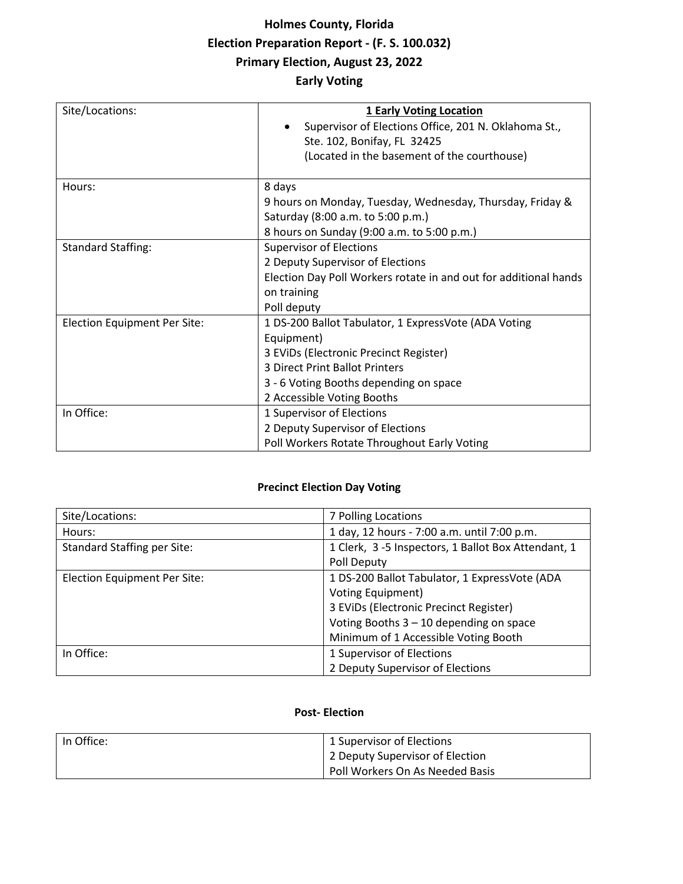# **Holmes County, Florida Election Preparation Report - (F. S. 100.032) Primary Election, August 23, 2022 Early Voting**

| Site/Locations:              | <b>1 Early Voting Location</b><br>Supervisor of Elections Office, 201 N. Oklahoma St.,<br>Ste. 102, Bonifay, FL 32425<br>(Located in the basement of the courthouse)                                                          |
|------------------------------|-------------------------------------------------------------------------------------------------------------------------------------------------------------------------------------------------------------------------------|
| Hours:                       | 8 days<br>9 hours on Monday, Tuesday, Wednesday, Thursday, Friday &<br>Saturday (8:00 a.m. to 5:00 p.m.)<br>8 hours on Sunday (9:00 a.m. to 5:00 p.m.)                                                                        |
| <b>Standard Staffing:</b>    | <b>Supervisor of Elections</b><br>2 Deputy Supervisor of Elections<br>Election Day Poll Workers rotate in and out for additional hands<br>on training<br>Poll deputy                                                          |
| Election Equipment Per Site: | 1 DS-200 Ballot Tabulator, 1 ExpressVote (ADA Voting<br>Equipment)<br>3 EVIDs (Electronic Precinct Register)<br><b>3 Direct Print Ballot Printers</b><br>3 - 6 Voting Booths depending on space<br>2 Accessible Voting Booths |
| In Office:                   | 1 Supervisor of Elections<br>2 Deputy Supervisor of Elections<br>Poll Workers Rotate Throughout Early Voting                                                                                                                  |

### **Precinct Election Day Voting**

| Site/Locations:                    | 7 Polling Locations                                 |
|------------------------------------|-----------------------------------------------------|
| Hours:                             | 1 day, 12 hours - 7:00 a.m. until 7:00 p.m.         |
| <b>Standard Staffing per Site:</b> | 1 Clerk, 3 -5 Inspectors, 1 Ballot Box Attendant, 1 |
|                                    | Poll Deputy                                         |
| Election Equipment Per Site:       | 1 DS-200 Ballot Tabulator, 1 ExpressVote (ADA       |
|                                    | <b>Voting Equipment)</b>                            |
|                                    | 3 EVIDs (Electronic Precinct Register)              |
|                                    | Voting Booths $3 - 10$ depending on space           |
|                                    | Minimum of 1 Accessible Voting Booth                |
| In Office:                         | 1 Supervisor of Elections                           |
|                                    | 2 Deputy Supervisor of Elections                    |

#### **Post- Election**

| In Office: | 1 Supervisor of Elections       |
|------------|---------------------------------|
|            | 2 Deputy Supervisor of Election |
|            | Poll Workers On As Needed Basis |